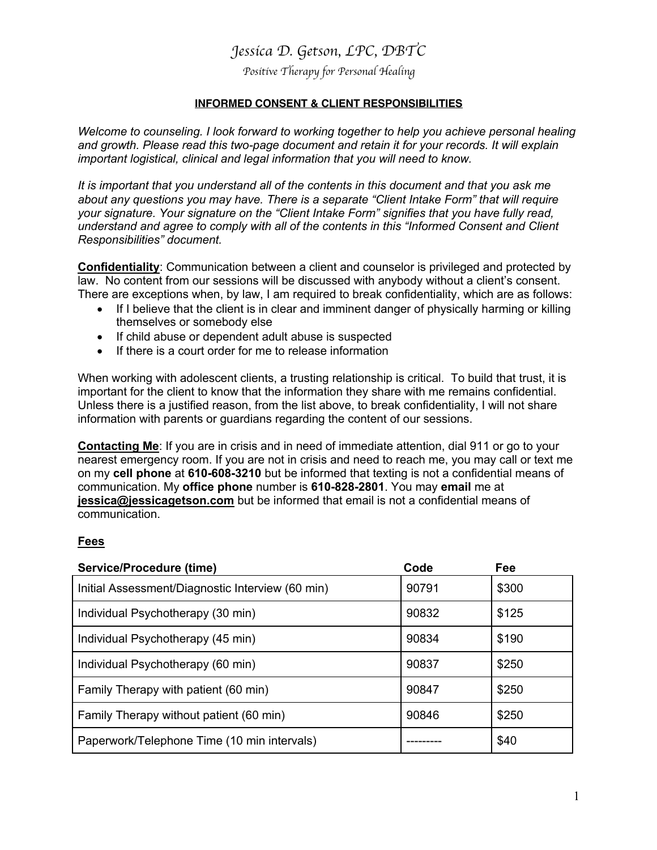# *Jessica D. Getson, LPC, DBTC*

*Positive Therapy for Personal Healing*

## **INFORMED CONSENT & CLIENT RESPONSIBILITIES**

*Welcome to counseling. I look forward to working together to help you achieve personal healing and growth. Please read this two-page document and retain it for your records. It will explain important logistical, clinical and legal information that you will need to know.*

*It is important that you understand all of the contents in this document and that you ask me about any questions you may have. There is a separate "Client Intake Form" that will require your signature. Your signature on the "Client Intake Form" signifies that you have fully read, understand and agree to comply with all of the contents in this "Informed Consent and Client Responsibilities" document.*

**Confidentiality**: Communication between a client and counselor is privileged and protected by law. No content from our sessions will be discussed with anybody without a client's consent. There are exceptions when, by law, I am required to break confidentiality, which are as follows:

- If I believe that the client is in clear and imminent danger of physically harming or killing themselves or somebody else
- If child abuse or dependent adult abuse is suspected
- If there is a court order for me to release information

When working with adolescent clients, a trusting relationship is critical. To build that trust, it is important for the client to know that the information they share with me remains confidential. Unless there is a justified reason, from the list above, to break confidentiality, I will not share information with parents or guardians regarding the content of our sessions.

**Contacting Me**: If you are in crisis and in need of immediate attention, dial 911 or go to your nearest emergency room. If you are not in crisis and need to reach me, you may call or text me on my **cell phone** at **610-608-3210** but be informed that texting is not a confidential means of communication. My **office phone** number is **610-828-2801**. You may **email** me at **jessica@jessicagetson.com** but be informed that email is not a confidential means of communication.

#### **Fees**

| <b>Service/Procedure (time)</b>                  | Code  | Fee   |
|--------------------------------------------------|-------|-------|
| Initial Assessment/Diagnostic Interview (60 min) | 90791 | \$300 |
| Individual Psychotherapy (30 min)                | 90832 | \$125 |
| Individual Psychotherapy (45 min)                | 90834 | \$190 |
| Individual Psychotherapy (60 min)                | 90837 | \$250 |
| Family Therapy with patient (60 min)             | 90847 | \$250 |
| Family Therapy without patient (60 min)          | 90846 | \$250 |
| Paperwork/Telephone Time (10 min intervals)      |       | \$40  |